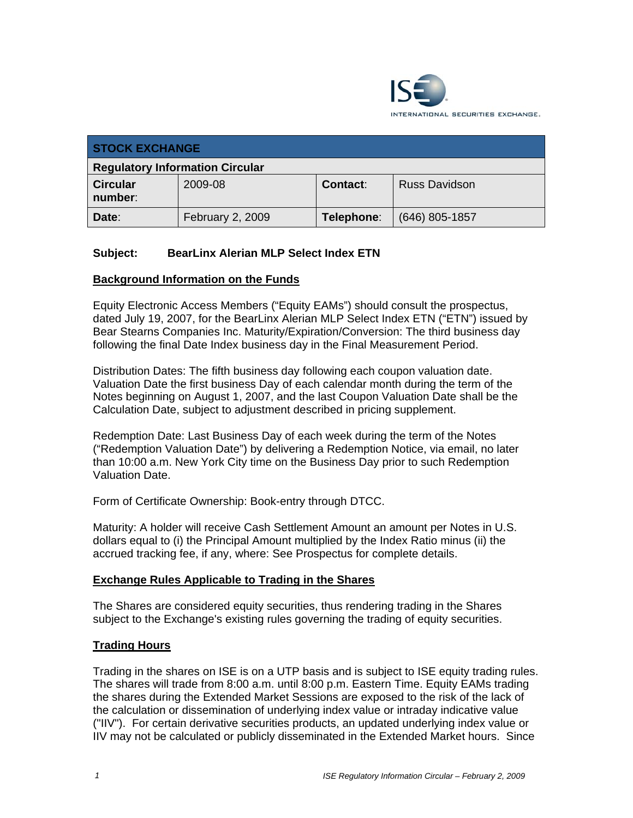

| <b>STOCK EXCHANGE</b>                  |                  |                 |                      |
|----------------------------------------|------------------|-----------------|----------------------|
| <b>Regulatory Information Circular</b> |                  |                 |                      |
| <b>Circular</b><br>number:             | 2009-08          | <b>Contact:</b> | <b>Russ Davidson</b> |
| Date:                                  | February 2, 2009 | Telephone:      | $(646)$ 805-1857     |

## **Subject: BearLinx Alerian MLP Select Index ETN**

#### **Background Information on the Funds**

Equity Electronic Access Members ("Equity EAMs") should consult the prospectus, dated July 19, 2007, for the BearLinx Alerian MLP Select Index ETN ("ETN") issued by Bear Stearns Companies Inc. Maturity/Expiration/Conversion: The third business day following the final Date Index business day in the Final Measurement Period.

Distribution Dates: The fifth business day following each coupon valuation date. Valuation Date the first business Day of each calendar month during the term of the Notes beginning on August 1, 2007, and the last Coupon Valuation Date shall be the Calculation Date, subject to adjustment described in pricing supplement.

Redemption Date: Last Business Day of each week during the term of the Notes ("Redemption Valuation Date") by delivering a Redemption Notice, via email, no later than 10:00 a.m. New York City time on the Business Day prior to such Redemption Valuation Date.

Form of Certificate Ownership: Book-entry through DTCC.

Maturity: A holder will receive Cash Settlement Amount an amount per Notes in U.S. dollars equal to (i) the Principal Amount multiplied by the Index Ratio minus (ii) the accrued tracking fee, if any, where: See Prospectus for complete details.

#### **Exchange Rules Applicable to Trading in the Shares**

The Shares are considered equity securities, thus rendering trading in the Shares subject to the Exchange's existing rules governing the trading of equity securities.

## **Trading Hours**

Trading in the shares on ISE is on a UTP basis and is subject to ISE equity trading rules. The shares will trade from 8:00 a.m. until 8:00 p.m. Eastern Time. Equity EAMs trading the shares during the Extended Market Sessions are exposed to the risk of the lack of the calculation or dissemination of underlying index value or intraday indicative value ("IIV"). For certain derivative securities products, an updated underlying index value or IIV may not be calculated or publicly disseminated in the Extended Market hours. Since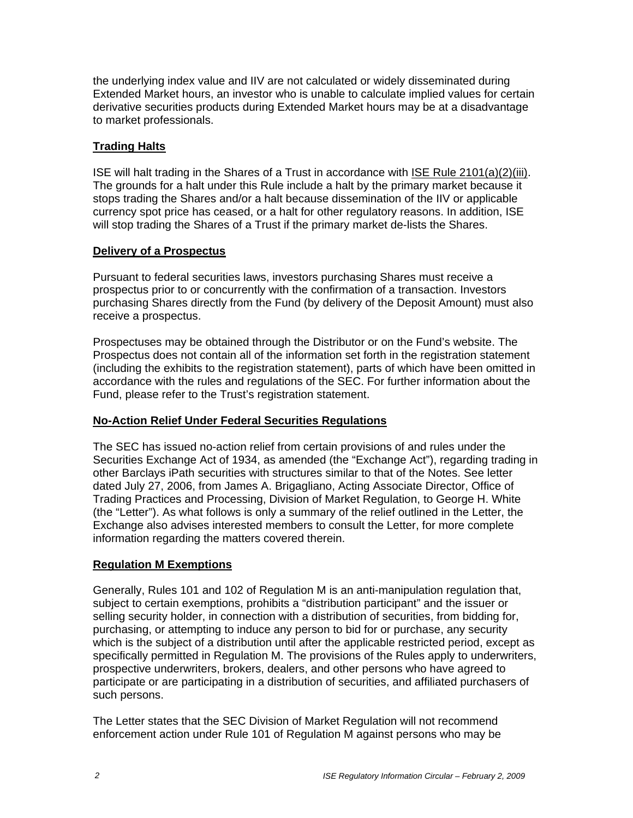the underlying index value and IIV are not calculated or widely disseminated during Extended Market hours, an investor who is unable to calculate implied values for certain derivative securities products during Extended Market hours may be at a disadvantage to market professionals.

## **Trading Halts**

ISE will halt trading in the Shares of a Trust in accordance with ISE Rule 2101(a)(2)(iii). The grounds for a halt under this Rule include a halt by the primary market because it stops trading the Shares and/or a halt because dissemination of the IIV or applicable currency spot price has ceased, or a halt for other regulatory reasons. In addition, ISE will stop trading the Shares of a Trust if the primary market de-lists the Shares.

## **Delivery of a Prospectus**

Pursuant to federal securities laws, investors purchasing Shares must receive a prospectus prior to or concurrently with the confirmation of a transaction. Investors purchasing Shares directly from the Fund (by delivery of the Deposit Amount) must also receive a prospectus.

Prospectuses may be obtained through the Distributor or on the Fund's website. The Prospectus does not contain all of the information set forth in the registration statement (including the exhibits to the registration statement), parts of which have been omitted in accordance with the rules and regulations of the SEC. For further information about the Fund, please refer to the Trust's registration statement.

## **No-Action Relief Under Federal Securities Regulations**

The SEC has issued no-action relief from certain provisions of and rules under the Securities Exchange Act of 1934, as amended (the "Exchange Act"), regarding trading in other Barclays iPath securities with structures similar to that of the Notes. See letter dated July 27, 2006, from James A. Brigagliano, Acting Associate Director, Office of Trading Practices and Processing, Division of Market Regulation, to George H. White (the "Letter"). As what follows is only a summary of the relief outlined in the Letter, the Exchange also advises interested members to consult the Letter, for more complete information regarding the matters covered therein.

## **Regulation M Exemptions**

Generally, Rules 101 and 102 of Regulation M is an anti-manipulation regulation that, subject to certain exemptions, prohibits a "distribution participant" and the issuer or selling security holder, in connection with a distribution of securities, from bidding for, purchasing, or attempting to induce any person to bid for or purchase, any security which is the subject of a distribution until after the applicable restricted period, except as specifically permitted in Regulation M. The provisions of the Rules apply to underwriters, prospective underwriters, brokers, dealers, and other persons who have agreed to participate or are participating in a distribution of securities, and affiliated purchasers of such persons.

The Letter states that the SEC Division of Market Regulation will not recommend enforcement action under Rule 101 of Regulation M against persons who may be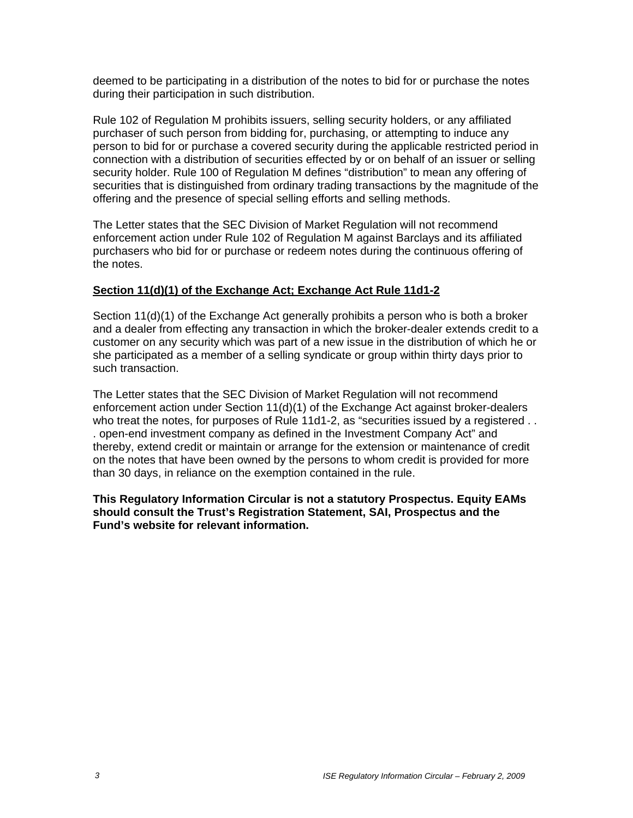deemed to be participating in a distribution of the notes to bid for or purchase the notes during their participation in such distribution.

Rule 102 of Regulation M prohibits issuers, selling security holders, or any affiliated purchaser of such person from bidding for, purchasing, or attempting to induce any person to bid for or purchase a covered security during the applicable restricted period in connection with a distribution of securities effected by or on behalf of an issuer or selling security holder. Rule 100 of Regulation M defines "distribution" to mean any offering of securities that is distinguished from ordinary trading transactions by the magnitude of the offering and the presence of special selling efforts and selling methods.

The Letter states that the SEC Division of Market Regulation will not recommend enforcement action under Rule 102 of Regulation M against Barclays and its affiliated purchasers who bid for or purchase or redeem notes during the continuous offering of the notes.

## **Section 11(d)(1) of the Exchange Act; Exchange Act Rule 11d1-2**

Section 11(d)(1) of the Exchange Act generally prohibits a person who is both a broker and a dealer from effecting any transaction in which the broker-dealer extends credit to a customer on any security which was part of a new issue in the distribution of which he or she participated as a member of a selling syndicate or group within thirty days prior to such transaction.

The Letter states that the SEC Division of Market Regulation will not recommend enforcement action under Section 11(d)(1) of the Exchange Act against broker-dealers who treat the notes, for purposes of Rule 11d1-2, as "securities issued by a registered . . . open-end investment company as defined in the Investment Company Act" and thereby, extend credit or maintain or arrange for the extension or maintenance of credit on the notes that have been owned by the persons to whom credit is provided for more than 30 days, in reliance on the exemption contained in the rule.

**This Regulatory Information Circular is not a statutory Prospectus. Equity EAMs should consult the Trust's Registration Statement, SAI, Prospectus and the Fund's website for relevant information.**